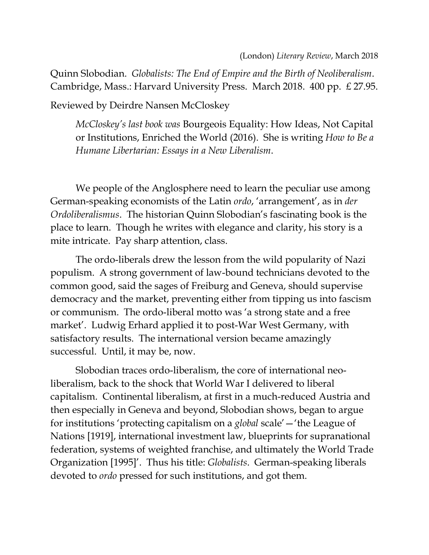Quinn Slobodian. *Globalists: The End of Empire and the Birth of Neoliberalism*. Cambridge, Mass.: Harvard University Press. March 2018. 400 pp. £ 27.95.

Reviewed by Deirdre Nansen McCloskey

*McCloskey's last book was* Bourgeois Equality: How Ideas, Not Capital or Institutions, Enriched the World (2016). She is writing *How to Be a Humane Libertarian: Essays in a New Liberalism*.

We people of the Anglosphere need to learn the peculiar use among German-speaking economists of the Latin *ordo*, 'arrangement', as in *der Ordoliberalismus*. The historian Quinn Slobodian's fascinating book is the place to learn. Though he writes with elegance and clarity, his story is a mite intricate. Pay sharp attention, class.

The ordo-liberals drew the lesson from the wild popularity of Nazi populism. A strong government of law-bound technicians devoted to the common good, said the sages of Freiburg and Geneva, should supervise democracy and the market, preventing either from tipping us into fascism or communism. The ordo-liberal motto was 'a strong state and a free market'. Ludwig Erhard applied it to post-War West Germany, with satisfactory results. The international version became amazingly successful. Until, it may be, now.

Slobodian traces ordo-liberalism, the core of international neoliberalism, back to the shock that World War I delivered to liberal capitalism. Continental liberalism, at first in a much-reduced Austria and then especially in Geneva and beyond, Slobodian shows, began to argue for institutions 'protecting capitalism on a *global* scale'—'the League of Nations [1919], international investment law, blueprints for supranational federation, systems of weighted franchise, and ultimately the World Trade Organization [1995]'. Thus his title: *Globalists*. German-speaking liberals devoted to *ordo* pressed for such institutions, and got them.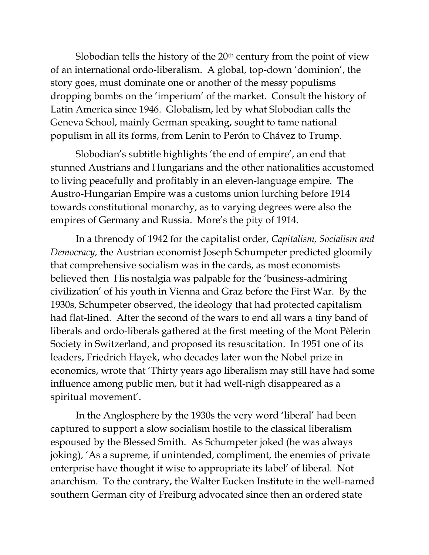Slobodian tells the history of the  $20<sup>th</sup>$  century from the point of view of an international ordo-liberalism. A global, top-down 'dominion', the story goes, must dominate one or another of the messy populisms dropping bombs on the 'imperium' of the market. Consult the history of Latin America since 1946. Globalism, led by what Slobodian calls the Geneva School, mainly German speaking, sought to tame national populism in all its forms, from Lenin to Perón to Chávez to Trump.

Slobodian's subtitle highlights 'the end of empire', an end that stunned Austrians and Hungarians and the other nationalities accustomed to living peacefully and profitably in an eleven-language empire. The Austro-Hungarian Empire was a customs union lurching before 1914 towards constitutional monarchy, as to varying degrees were also the empires of Germany and Russia. More's the pity of 1914.

In a threnody of 1942 for the capitalist order, *Capitalism, Socialism and Democracy,* the Austrian economist Joseph Schumpeter predicted gloomily that comprehensive socialism was in the cards, as most economists believed then His nostalgia was palpable for the 'business-admiring civilization' of his youth in Vienna and Graz before the First War. By the 1930s, Schumpeter observed, the ideology that had protected capitalism had flat-lined. After the second of the wars to end all wars a tiny band of liberals and ordo-liberals gathered at the first meeting of the Mont Pèlerin Society in Switzerland, and proposed its resuscitation. In 1951 one of its leaders, Friedrich Hayek, who decades later won the Nobel prize in economics, wrote that 'Thirty years ago liberalism may still have had some influence among public men, but it had well-nigh disappeared as a spiritual movement'.

In the Anglosphere by the 1930s the very word 'liberal' had been captured to support a slow socialism hostile to the classical liberalism espoused by the Blessed Smith. As Schumpeter joked (he was always joking), 'As a supreme, if unintended, compliment, the enemies of private enterprise have thought it wise to appropriate its label' of liberal. Not anarchism. To the contrary, the Walter Eucken Institute in the well-named southern German city of Freiburg advocated since then an ordered state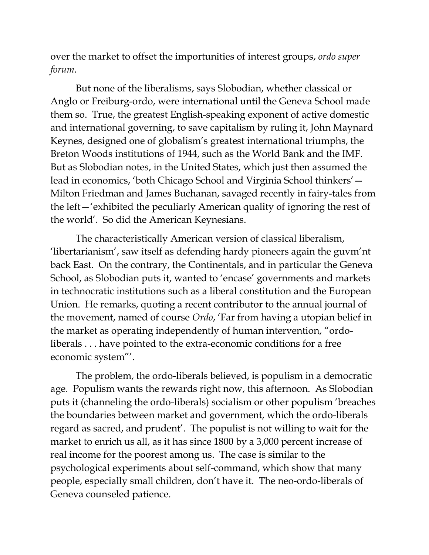over the market to offset the importunities of interest groups, *ordo super forum.*

But none of the liberalisms, says Slobodian, whether classical or Anglo or Freiburg-ordo, were international until the Geneva School made them so. True, the greatest English-speaking exponent of active domestic and international governing, to save capitalism by ruling it, John Maynard Keynes, designed one of globalism's greatest international triumphs, the Breton Woods institutions of 1944, such as the World Bank and the IMF. But as Slobodian notes, in the United States, which just then assumed the lead in economics, 'both Chicago School and Virginia School thinkers'— Milton Friedman and James Buchanan, savaged recently in fairy-tales from the left—'exhibited the peculiarly American quality of ignoring the rest of the world'. So did the American Keynesians.

The characteristically American version of classical liberalism, 'libertarianism', saw itself as defending hardy pioneers again the guvm'nt back East. On the contrary, the Continentals, and in particular the Geneva School, as Slobodian puts it, wanted to 'encase' governments and markets in technocratic institutions such as a liberal constitution and the European Union. He remarks, quoting a recent contributor to the annual journal of the movement, named of course *Ordo*, 'Far from having a utopian belief in the market as operating independently of human intervention, "ordoliberals . . . have pointed to the extra-economic conditions for a free economic system"'.

The problem, the ordo-liberals believed, is populism in a democratic age. Populism wants the rewards right now, this afternoon. As Slobodian puts it (channeling the ordo-liberals) socialism or other populism 'breaches the boundaries between market and government, which the ordo-liberals regard as sacred, and prudent'. The populist is not willing to wait for the market to enrich us all, as it has since 1800 by a 3,000 percent increase of real income for the poorest among us. The case is similar to the psychological experiments about self-command, which show that many people, especially small children, don't have it. The neo-ordo-liberals of Geneva counseled patience.